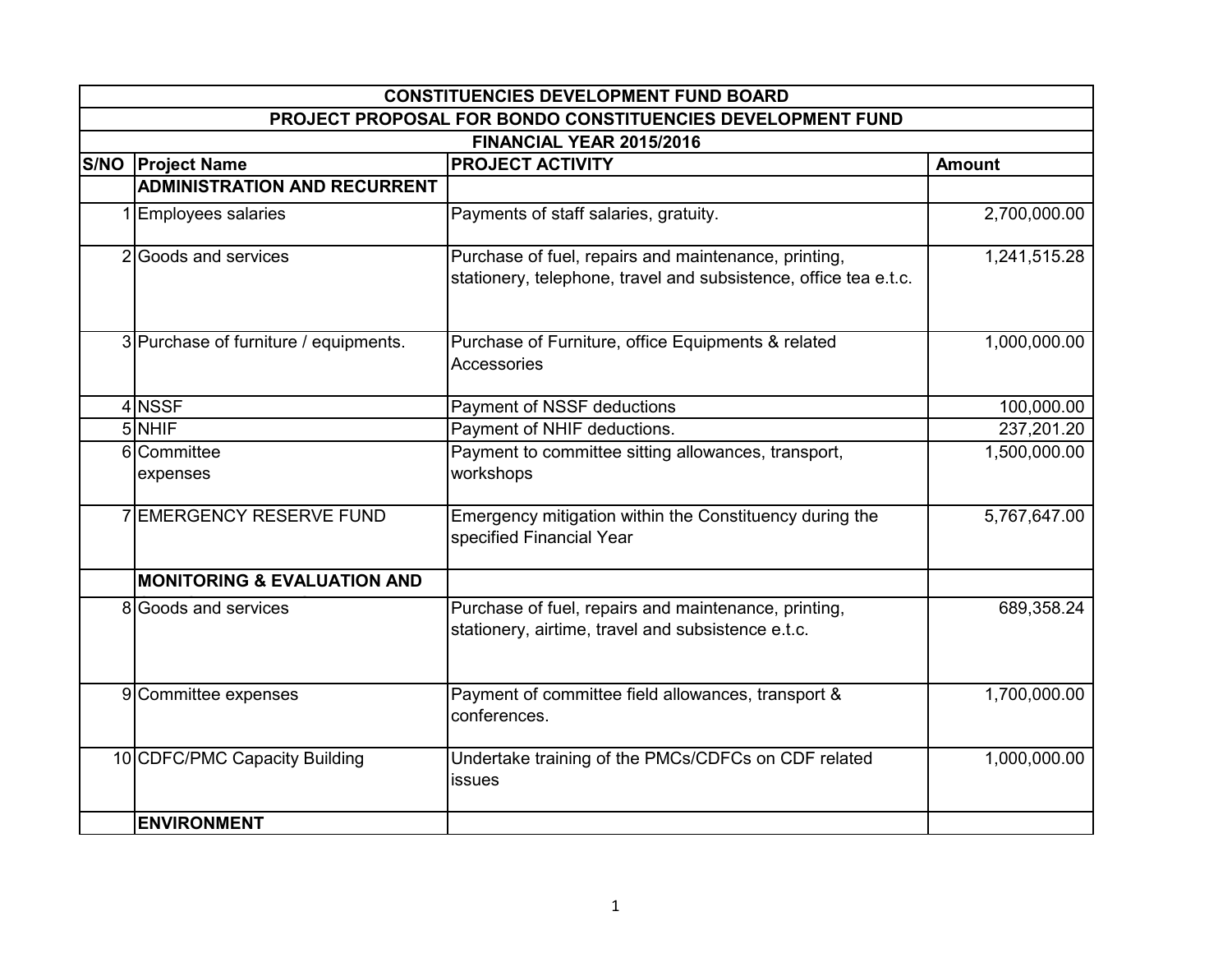| <b>CONSTITUENCIES DEVELOPMENT FUND BOARD</b>               |                                                                                                                          |               |  |
|------------------------------------------------------------|--------------------------------------------------------------------------------------------------------------------------|---------------|--|
| PROJECT PROPOSAL FOR BONDO CONSTITUENCIES DEVELOPMENT FUND |                                                                                                                          |               |  |
|                                                            | FINANCIAL YEAR 2015/2016                                                                                                 |               |  |
| <b>S/NO Project Name</b>                                   | <b>PROJECT ACTIVITY</b>                                                                                                  | <b>Amount</b> |  |
| <b>ADMINISTRATION AND RECURRENT</b>                        |                                                                                                                          |               |  |
| 1 Employees salaries                                       | Payments of staff salaries, gratuity.                                                                                    | 2,700,000.00  |  |
| 2 Goods and services                                       | Purchase of fuel, repairs and maintenance, printing,<br>stationery, telephone, travel and subsistence, office tea e.t.c. | 1,241,515.28  |  |
| 3 Purchase of furniture / equipments.                      | Purchase of Furniture, office Equipments & related<br>Accessories                                                        | 1,000,000.00  |  |
| 4 NSSF                                                     | Payment of NSSF deductions                                                                                               | 100,000.00    |  |
| 5 NHIF                                                     | Payment of NHIF deductions.                                                                                              | 237,201.20    |  |
| 6 Committee<br>expenses                                    | Payment to committee sitting allowances, transport,<br>workshops                                                         | 1,500,000.00  |  |
| <b>7 EMERGENCY RESERVE FUND</b>                            | Emergency mitigation within the Constituency during the<br>specified Financial Year                                      | 5,767,647.00  |  |
| <b>MONITORING &amp; EVALUATION AND</b>                     |                                                                                                                          |               |  |
| 8 Goods and services                                       | Purchase of fuel, repairs and maintenance, printing,<br>stationery, airtime, travel and subsistence e.t.c.               | 689,358.24    |  |
| 9 Committee expenses                                       | Payment of committee field allowances, transport &<br>conferences.                                                       | 1,700,000.00  |  |
| 10 CDFC/PMC Capacity Building                              | Undertake training of the PMCs/CDFCs on CDF related<br>issues                                                            | 1,000,000.00  |  |
| <b>ENVIRONMENT</b>                                         |                                                                                                                          |               |  |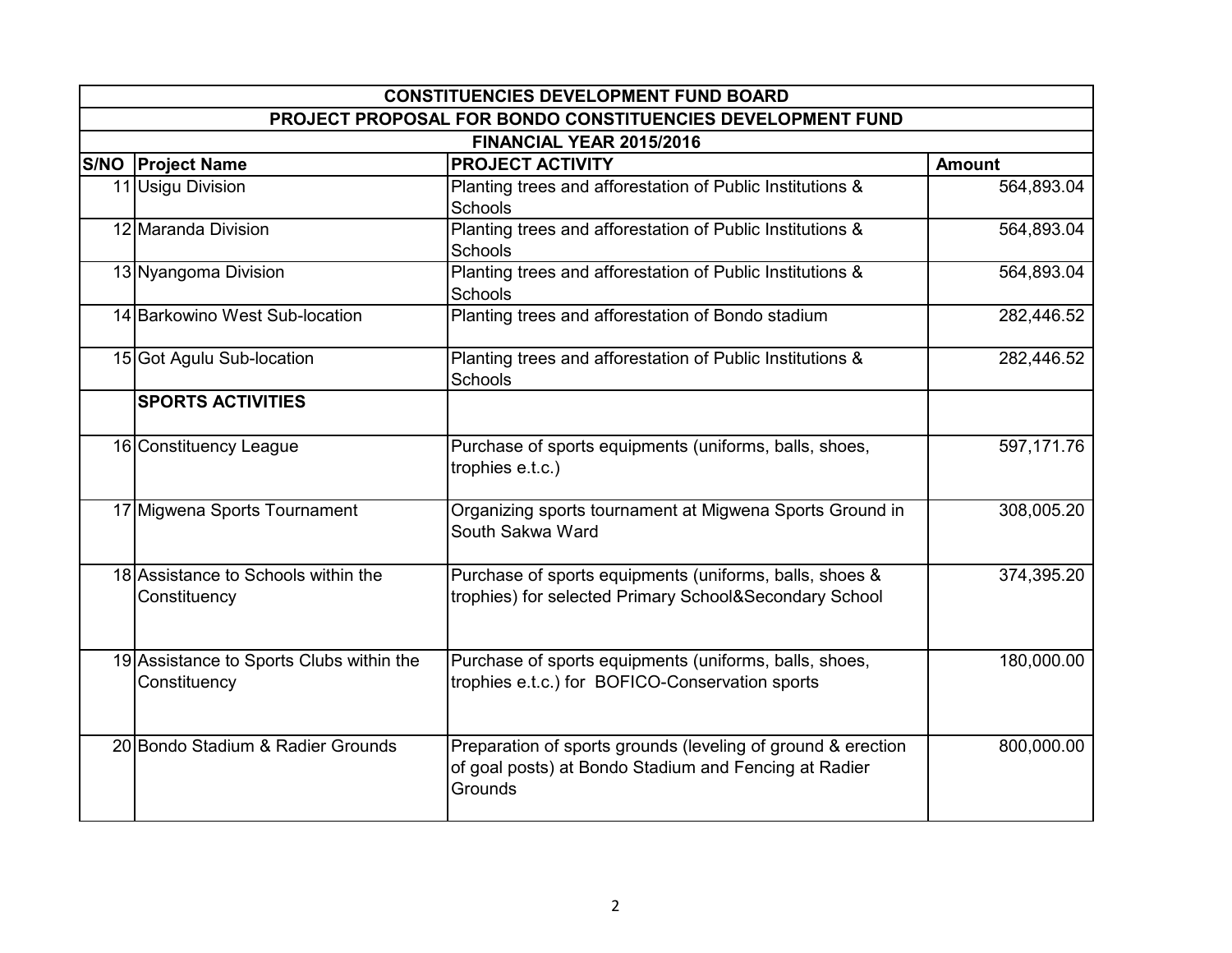| <b>CONSTITUENCIES DEVELOPMENT FUND BOARD</b>             |                                                                                                                                  |               |  |
|----------------------------------------------------------|----------------------------------------------------------------------------------------------------------------------------------|---------------|--|
|                                                          | PROJECT PROPOSAL FOR BONDO CONSTITUENCIES DEVELOPMENT FUND                                                                       |               |  |
|                                                          | FINANCIAL YEAR 2015/2016                                                                                                         |               |  |
| <b>S/NO Project Name</b>                                 | <b>PROJECT ACTIVITY</b>                                                                                                          | <b>Amount</b> |  |
| 11 Usigu Division                                        | Planting trees and afforestation of Public Institutions &                                                                        | 564,893.04    |  |
|                                                          | Schools                                                                                                                          |               |  |
| 12 Maranda Division                                      | Planting trees and afforestation of Public Institutions &                                                                        | 564,893.04    |  |
|                                                          | Schools                                                                                                                          |               |  |
| 13 Nyangoma Division                                     | Planting trees and afforestation of Public Institutions &<br><b>Schools</b>                                                      | 564,893.04    |  |
| 14 Barkowino West Sub-location                           | Planting trees and afforestation of Bondo stadium                                                                                | 282,446.52    |  |
| 15 Got Agulu Sub-location                                | Planting trees and afforestation of Public Institutions &<br>Schools                                                             | 282,446.52    |  |
| <b>SPORTS ACTIVITIES</b>                                 |                                                                                                                                  |               |  |
| 16 Constituency League                                   | Purchase of sports equipments (uniforms, balls, shoes,<br>trophies e.t.c.)                                                       | 597, 171.76   |  |
| 17 Migwena Sports Tournament                             | Organizing sports tournament at Migwena Sports Ground in<br>South Sakwa Ward                                                     | 308,005.20    |  |
| 18 Assistance to Schools within the<br>Constituency      | Purchase of sports equipments (uniforms, balls, shoes &<br>trophies) for selected Primary School&Secondary School                | 374,395.20    |  |
| 19 Assistance to Sports Clubs within the<br>Constituency | Purchase of sports equipments (uniforms, balls, shoes,<br>trophies e.t.c.) for BOFICO-Conservation sports                        | 180,000.00    |  |
| 20 Bondo Stadium & Radier Grounds                        | Preparation of sports grounds (leveling of ground & erection<br>of goal posts) at Bondo Stadium and Fencing at Radier<br>Grounds | 800,000.00    |  |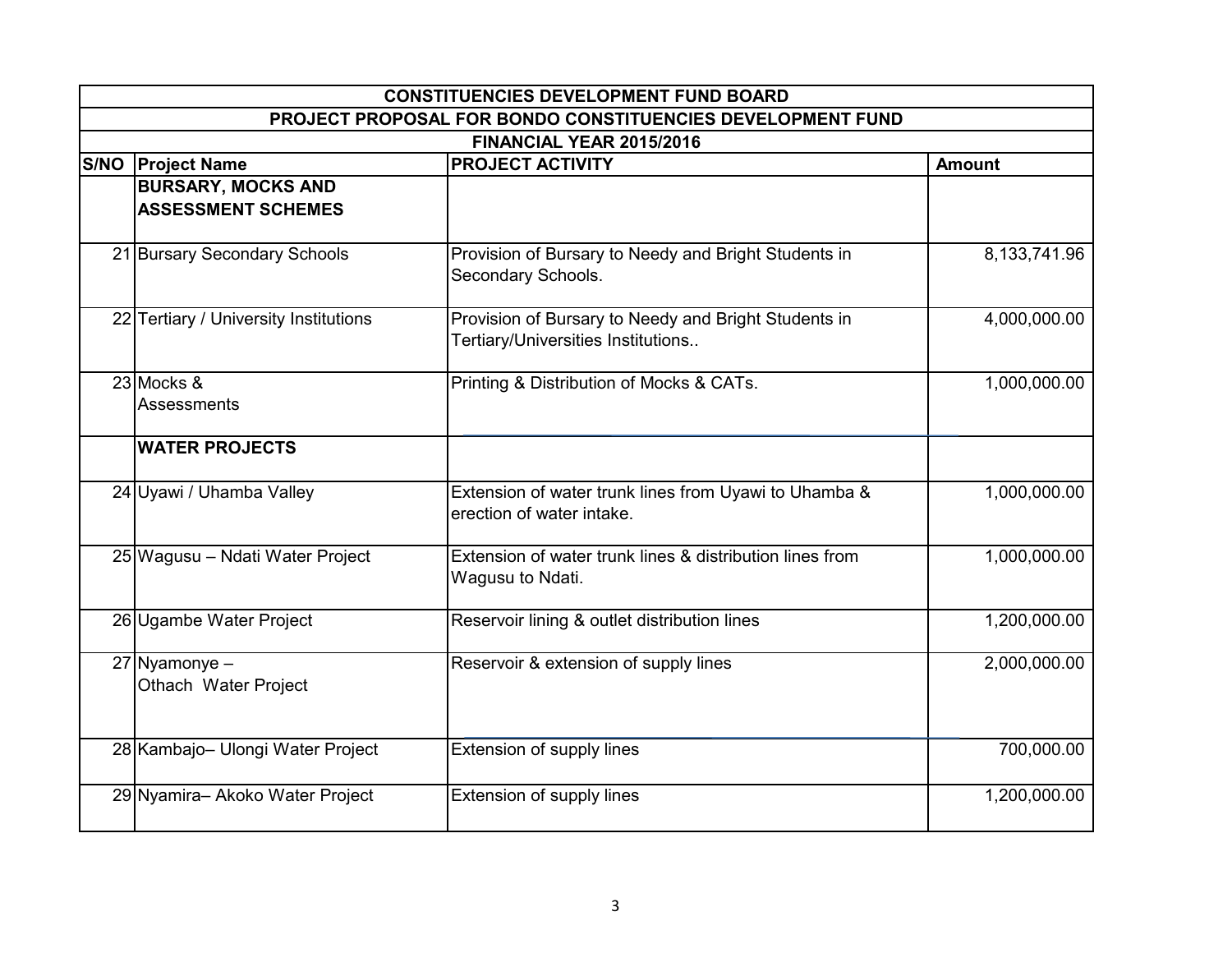| <b>CONSTITUENCIES DEVELOPMENT FUND BOARD</b>           |                                                                                            |               |  |
|--------------------------------------------------------|--------------------------------------------------------------------------------------------|---------------|--|
|                                                        | PROJECT PROPOSAL FOR BONDO CONSTITUENCIES DEVELOPMENT FUND                                 |               |  |
|                                                        | FINANCIAL YEAR 2015/2016                                                                   |               |  |
| <b>S/NO Project Name</b>                               | <b>PROJECT ACTIVITY</b>                                                                    | <b>Amount</b> |  |
| <b>BURSARY, MOCKS AND</b><br><b>ASSESSMENT SCHEMES</b> |                                                                                            |               |  |
| 21 Bursary Secondary Schools                           | Provision of Bursary to Needy and Bright Students in<br>Secondary Schools.                 | 8,133,741.96  |  |
| 22 Tertiary / University Institutions                  | Provision of Bursary to Needy and Bright Students in<br>Tertiary/Universities Institutions | 4,000,000.00  |  |
| 23 Mocks &<br>Assessments                              | Printing & Distribution of Mocks & CATs.                                                   | 1,000,000.00  |  |
| <b>WATER PROJECTS</b>                                  |                                                                                            |               |  |
| 24 Uyawi / Uhamba Valley                               | Extension of water trunk lines from Uyawi to Uhamba &<br>erection of water intake.         | 1,000,000.00  |  |
| 25 Wagusu - Ndati Water Project                        | Extension of water trunk lines & distribution lines from<br>Wagusu to Ndati.               | 1,000,000.00  |  |
| 26 Ugambe Water Project                                | Reservoir lining & outlet distribution lines                                               | 1,200,000.00  |  |
| 27 Nyamonye -<br>Othach Water Project                  | Reservoir & extension of supply lines                                                      | 2,000,000.00  |  |
| 28 Kambajo- Ulongi Water Project                       | Extension of supply lines                                                                  | 700,000.00    |  |
| 29 Nyamira- Akoko Water Project                        | Extension of supply lines                                                                  | 1,200,000.00  |  |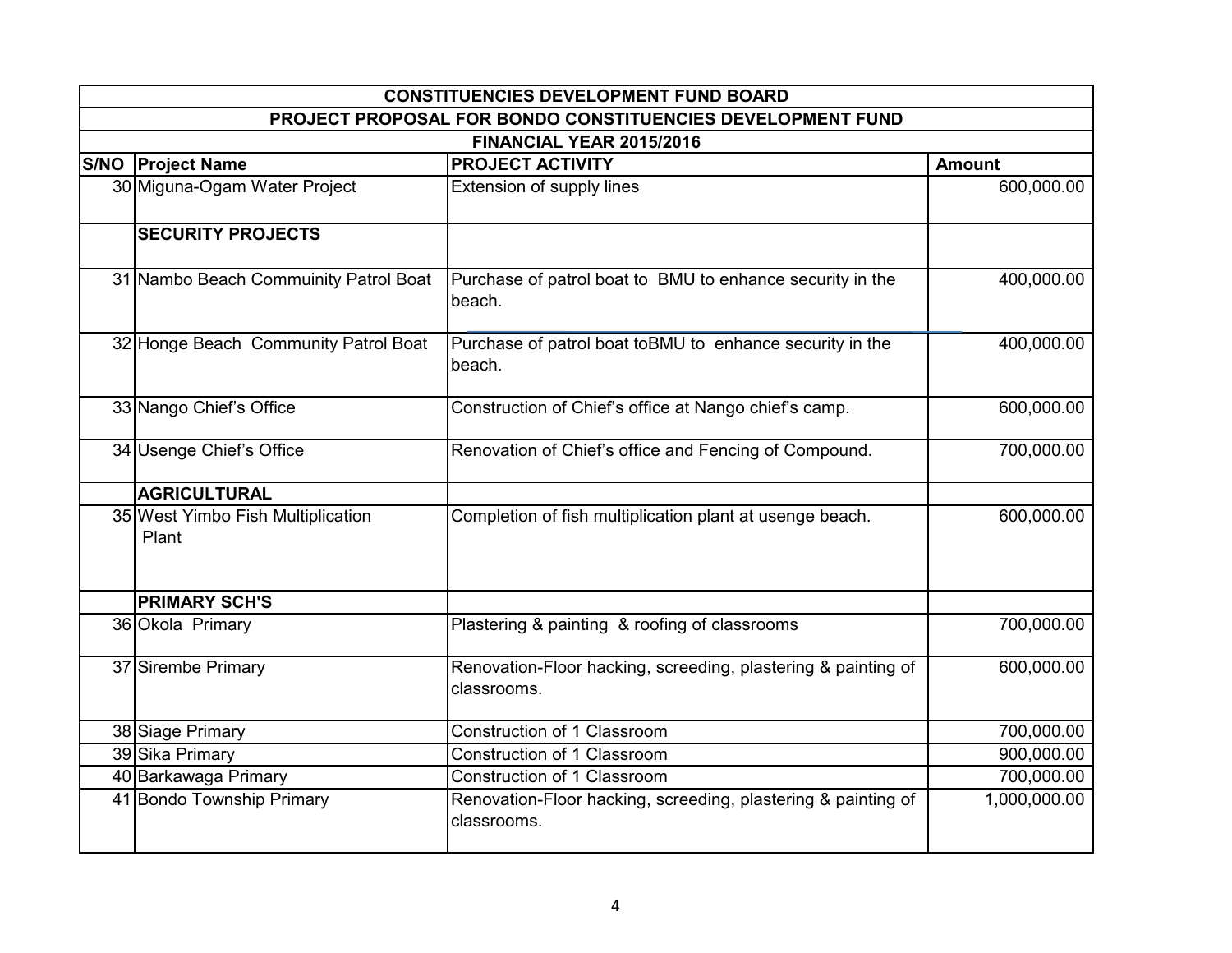| <b>CONSTITUENCIES DEVELOPMENT FUND BOARD</b>               |                                                                              |               |  |
|------------------------------------------------------------|------------------------------------------------------------------------------|---------------|--|
| PROJECT PROPOSAL FOR BONDO CONSTITUENCIES DEVELOPMENT FUND |                                                                              |               |  |
|                                                            | FINANCIAL YEAR 2015/2016                                                     |               |  |
| <b>S/NO Project Name</b>                                   | <b>PROJECT ACTIVITY</b>                                                      | <b>Amount</b> |  |
| 30 Miguna-Ogam Water Project                               | Extension of supply lines                                                    | 600,000.00    |  |
| <b>SECURITY PROJECTS</b>                                   |                                                                              |               |  |
| 31 Nambo Beach Commuinity Patrol Boat                      | Purchase of patrol boat to BMU to enhance security in the<br>beach.          | 400,000.00    |  |
| 32 Honge Beach Community Patrol Boat                       | Purchase of patrol boat toBMU to enhance security in the<br>beach.           | 400,000.00    |  |
| 33 Nango Chief's Office                                    | Construction of Chief's office at Nango chief's camp.                        | 600,000.00    |  |
| 34 Usenge Chief's Office                                   | Renovation of Chief's office and Fencing of Compound.                        | 700,000.00    |  |
| <b>AGRICULTURAL</b>                                        |                                                                              |               |  |
| 35 West Yimbo Fish Multiplication<br>Plant                 | Completion of fish multiplication plant at usenge beach.                     | 600,000.00    |  |
| <b>PRIMARY SCH'S</b>                                       |                                                                              |               |  |
| 36 Okola Primary                                           | Plastering & painting & roofing of classrooms                                | 700,000.00    |  |
| 37 Sirembe Primary                                         | Renovation-Floor hacking, screeding, plastering & painting of<br>classrooms. | 600,000.00    |  |
| 38 Siage Primary                                           | Construction of 1 Classroom                                                  | 700,000.00    |  |
| 39 Sika Primary                                            | Construction of 1 Classroom                                                  | 900,000.00    |  |
| 40 Barkawaga Primary                                       | Construction of 1 Classroom                                                  | 700,000.00    |  |
| 41 Bondo Township Primary                                  | Renovation-Floor hacking, screeding, plastering & painting of<br>classrooms. | 1,000,000.00  |  |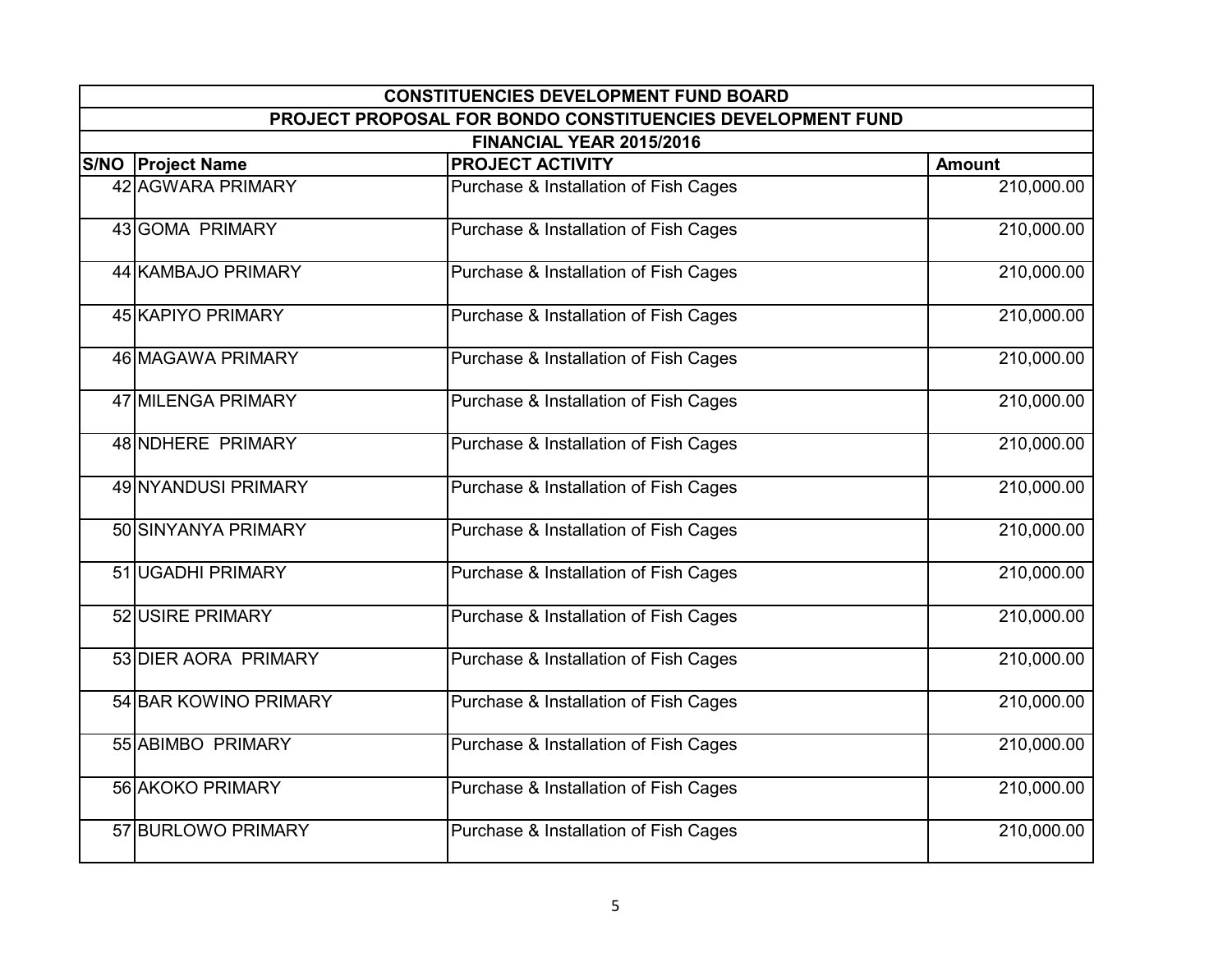| <b>CONSTITUENCIES DEVELOPMENT FUND BOARD</b> |                                                            |               |  |
|----------------------------------------------|------------------------------------------------------------|---------------|--|
|                                              | PROJECT PROPOSAL FOR BONDO CONSTITUENCIES DEVELOPMENT FUND |               |  |
|                                              | FINANCIAL YEAR 2015/2016                                   |               |  |
| <b>S/NO Project Name</b>                     | <b>PROJECT ACTIVITY</b>                                    | <b>Amount</b> |  |
| 42 AGWARA PRIMARY                            | Purchase & Installation of Fish Cages                      | 210,000.00    |  |
| 43 GOMA PRIMARY                              | Purchase & Installation of Fish Cages                      | 210,000.00    |  |
| 44 KAMBAJO PRIMARY                           | Purchase & Installation of Fish Cages                      | 210,000.00    |  |
| 45 KAPIYO PRIMARY                            | Purchase & Installation of Fish Cages                      | 210,000.00    |  |
| 46 MAGAWA PRIMARY                            | Purchase & Installation of Fish Cages                      | 210,000.00    |  |
| 47 MILENGA PRIMARY                           | Purchase & Installation of Fish Cages                      | 210,000.00    |  |
| 48 NDHERE PRIMARY                            | Purchase & Installation of Fish Cages                      | 210,000.00    |  |
| 49 NYANDUSI PRIMARY                          | Purchase & Installation of Fish Cages                      | 210,000.00    |  |
| 50 SINYANYA PRIMARY                          | Purchase & Installation of Fish Cages                      | 210,000.00    |  |
| 51 UGADHI PRIMARY                            | Purchase & Installation of Fish Cages                      | 210,000.00    |  |
| 52 USIRE PRIMARY                             | Purchase & Installation of Fish Cages                      | 210,000.00    |  |
| 53 DIER AORA PRIMARY                         | Purchase & Installation of Fish Cages                      | 210,000.00    |  |
| 54 BAR KOWINO PRIMARY                        | Purchase & Installation of Fish Cages                      | 210,000.00    |  |
| 55 ABIMBO PRIMARY                            | Purchase & Installation of Fish Cages                      | 210,000.00    |  |
| 56 AKOKO PRIMARY                             | Purchase & Installation of Fish Cages                      | 210,000.00    |  |
| 57 BURLOWO PRIMARY                           | Purchase & Installation of Fish Cages                      | 210,000.00    |  |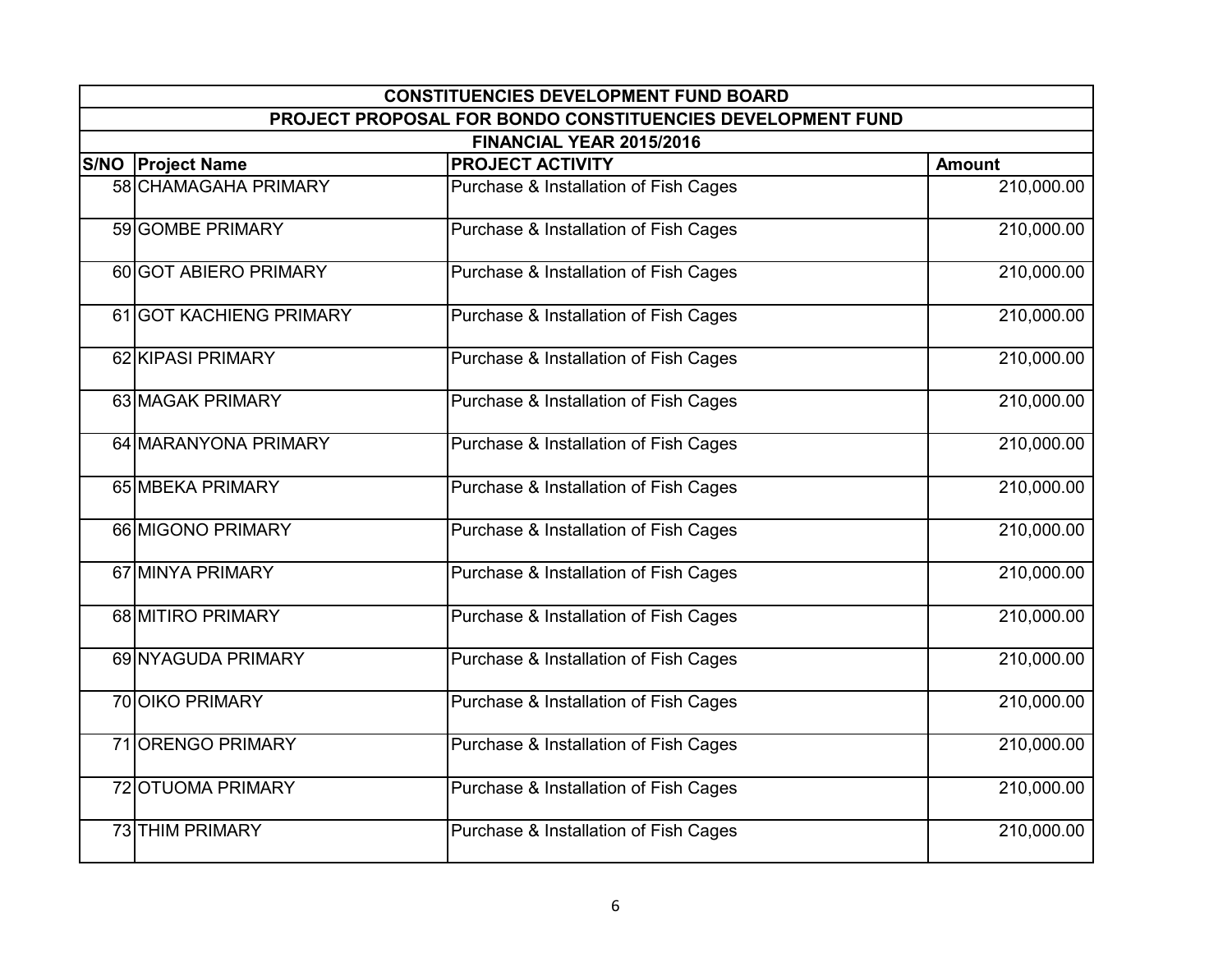| <b>CONSTITUENCIES DEVELOPMENT FUND BOARD</b> |                                                            |               |  |
|----------------------------------------------|------------------------------------------------------------|---------------|--|
|                                              | PROJECT PROPOSAL FOR BONDO CONSTITUENCIES DEVELOPMENT FUND |               |  |
|                                              | FINANCIAL YEAR 2015/2016                                   |               |  |
| <b>S/NO Project Name</b>                     | <b>PROJECT ACTIVITY</b>                                    | <b>Amount</b> |  |
| 58 CHAMAGAHA PRIMARY                         | Purchase & Installation of Fish Cages                      | 210,000.00    |  |
| 59 GOMBE PRIMARY                             | Purchase & Installation of Fish Cages                      | 210,000.00    |  |
| 60 GOT ABIERO PRIMARY                        | Purchase & Installation of Fish Cages                      | 210,000.00    |  |
| 61 GOT KACHIENG PRIMARY                      | Purchase & Installation of Fish Cages                      | 210,000.00    |  |
| 62 KIPASI PRIMARY                            | Purchase & Installation of Fish Cages                      | 210,000.00    |  |
| 63 MAGAK PRIMARY                             | Purchase & Installation of Fish Cages                      | 210,000.00    |  |
| 64 MARANYONA PRIMARY                         | Purchase & Installation of Fish Cages                      | 210,000.00    |  |
| 65 MBEKA PRIMARY                             | Purchase & Installation of Fish Cages                      | 210,000.00    |  |
| 66 MIGONO PRIMARY                            | Purchase & Installation of Fish Cages                      | 210,000.00    |  |
| 67 MINYA PRIMARY                             | Purchase & Installation of Fish Cages                      | 210,000.00    |  |
| 68 MITIRO PRIMARY                            | Purchase & Installation of Fish Cages                      | 210,000.00    |  |
| 69 NYAGUDA PRIMARY                           | Purchase & Installation of Fish Cages                      | 210,000.00    |  |
| <b>70 OIKO PRIMARY</b>                       | Purchase & Installation of Fish Cages                      | 210,000.00    |  |
| 71 ORENGO PRIMARY                            | Purchase & Installation of Fish Cages                      | 210,000.00    |  |
| 72 OTUOMA PRIMARY                            | Purchase & Installation of Fish Cages                      | 210,000.00    |  |
| 73 THIM PRIMARY                              | Purchase & Installation of Fish Cages                      | 210,000.00    |  |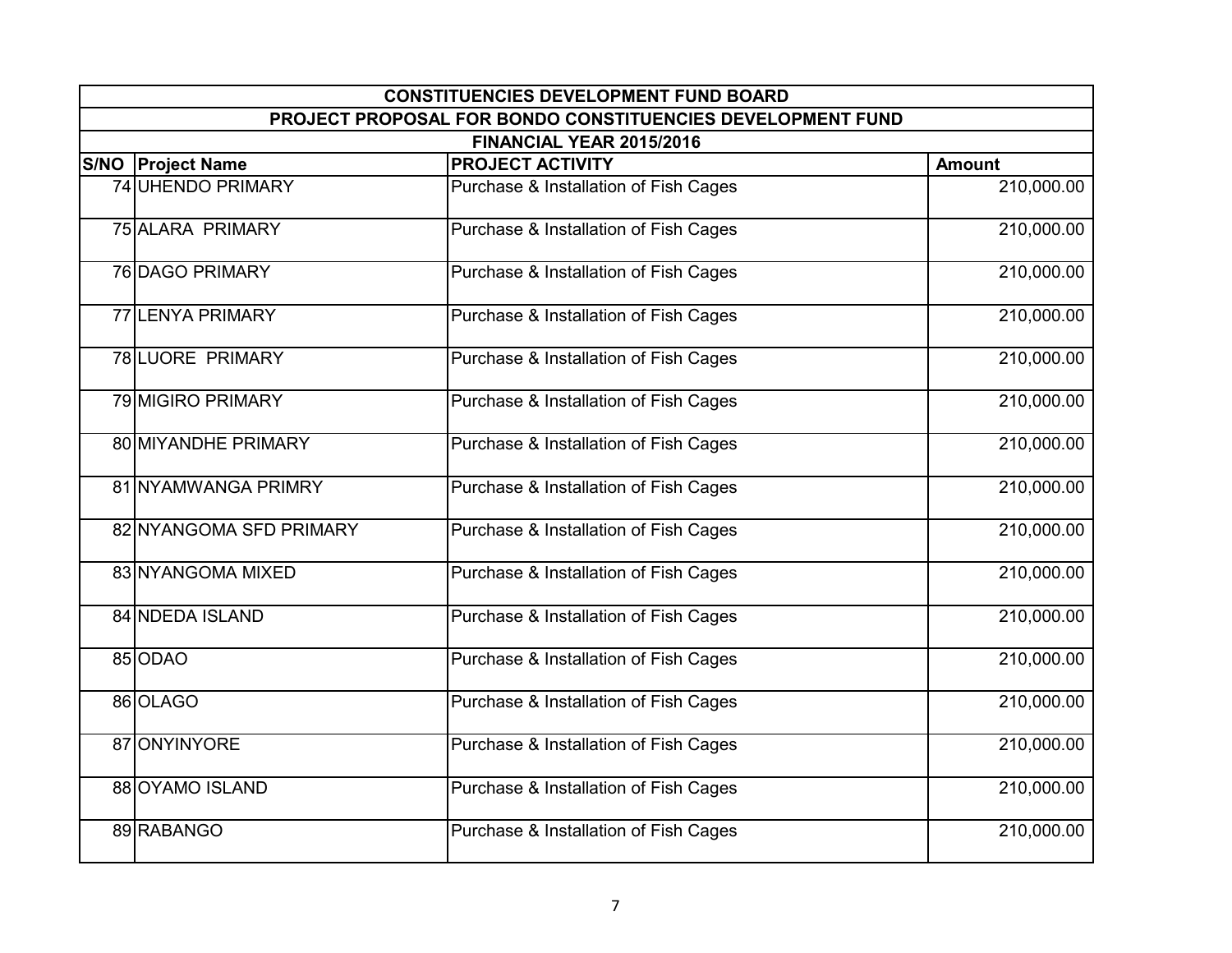| <b>CONSTITUENCIES DEVELOPMENT FUND BOARD</b> |                                                            |               |  |
|----------------------------------------------|------------------------------------------------------------|---------------|--|
|                                              | PROJECT PROPOSAL FOR BONDO CONSTITUENCIES DEVELOPMENT FUND |               |  |
|                                              | FINANCIAL YEAR 2015/2016                                   |               |  |
| <b>S/NO Project Name</b>                     | <b>PROJECT ACTIVITY</b>                                    | <b>Amount</b> |  |
| 74 UHENDO PRIMARY                            | Purchase & Installation of Fish Cages                      | 210,000.00    |  |
| 75 ALARA PRIMARY                             | Purchase & Installation of Fish Cages                      | 210,000.00    |  |
| <b>76 DAGO PRIMARY</b>                       | Purchase & Installation of Fish Cages                      | 210,000.00    |  |
| 77 LENYA PRIMARY                             | Purchase & Installation of Fish Cages                      | 210,000.00    |  |
| <b>78 LUORE PRIMARY</b>                      | Purchase & Installation of Fish Cages                      | 210,000.00    |  |
| 79 MIGIRO PRIMARY                            | Purchase & Installation of Fish Cages                      | 210,000.00    |  |
| 80 MIYANDHE PRIMARY                          | Purchase & Installation of Fish Cages                      | 210,000.00    |  |
| 81 NYAMWANGA PRIMRY                          | Purchase & Installation of Fish Cages                      | 210,000.00    |  |
| 82 NYANGOMA SFD PRIMARY                      | Purchase & Installation of Fish Cages                      | 210,000.00    |  |
| 83 NYANGOMA MIXED                            | Purchase & Installation of Fish Cages                      | 210,000.00    |  |
| 84 NDEDA ISLAND                              | Purchase & Installation of Fish Cages                      | 210,000.00    |  |
| 85 ODAO                                      | Purchase & Installation of Fish Cages                      | 210,000.00    |  |
| 86 OLAGO                                     | Purchase & Installation of Fish Cages                      | 210,000.00    |  |
| 87 ONYINYORE                                 | Purchase & Installation of Fish Cages                      | 210,000.00    |  |
| 88 OYAMO ISLAND                              | Purchase & Installation of Fish Cages                      | 210,000.00    |  |
| 89 RABANGO                                   | Purchase & Installation of Fish Cages                      | 210,000.00    |  |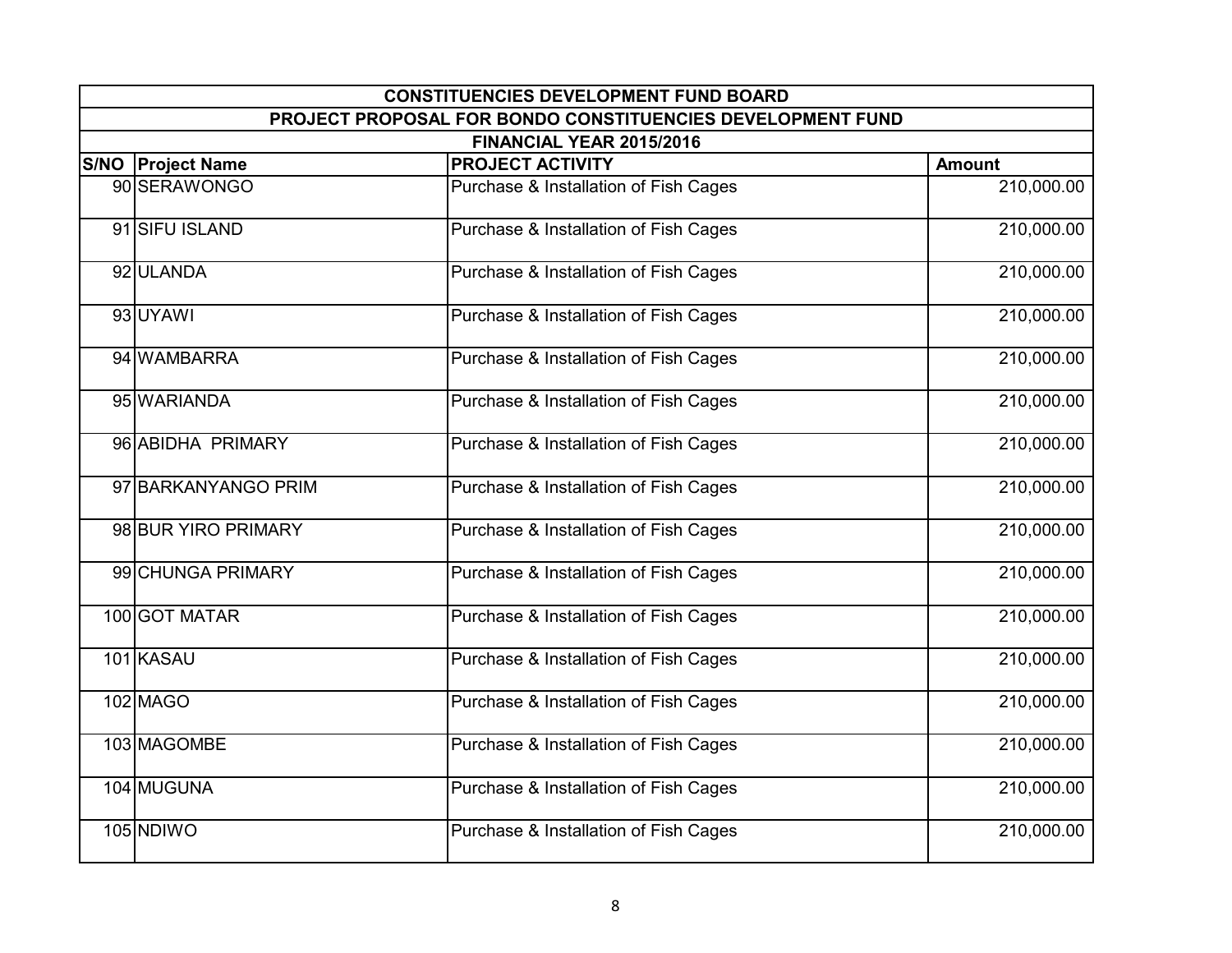| <b>CONSTITUENCIES DEVELOPMENT FUND BOARD</b> |                                                            |               |  |
|----------------------------------------------|------------------------------------------------------------|---------------|--|
|                                              | PROJECT PROPOSAL FOR BONDO CONSTITUENCIES DEVELOPMENT FUND |               |  |
|                                              | FINANCIAL YEAR 2015/2016                                   |               |  |
| <b>S/NO Project Name</b>                     | <b>PROJECT ACTIVITY</b>                                    | <b>Amount</b> |  |
| 90 SERAWONGO                                 | Purchase & Installation of Fish Cages                      | 210,000.00    |  |
| 91 SIFU ISLAND                               | Purchase & Installation of Fish Cages                      | 210,000.00    |  |
| 92 ULANDA                                    | Purchase & Installation of Fish Cages                      | 210,000.00    |  |
| 93 UYAWI                                     | Purchase & Installation of Fish Cages                      | 210,000.00    |  |
| 94 WAMBARRA                                  | Purchase & Installation of Fish Cages                      | 210,000.00    |  |
| 95 WARIANDA                                  | Purchase & Installation of Fish Cages                      | 210,000.00    |  |
| 96 ABIDHA PRIMARY                            | Purchase & Installation of Fish Cages                      | 210,000.00    |  |
| 97 BARKANYANGO PRIM                          | Purchase & Installation of Fish Cages                      | 210,000.00    |  |
| 98 BUR YIRO PRIMARY                          | Purchase & Installation of Fish Cages                      | 210,000.00    |  |
| 99 CHUNGA PRIMARY                            | Purchase & Installation of Fish Cages                      | 210,000.00    |  |
| 100 GOT MATAR                                | Purchase & Installation of Fish Cages                      | 210,000.00    |  |
| 101 KASAU                                    | Purchase & Installation of Fish Cages                      | 210,000.00    |  |
| 102 MAGO                                     | Purchase & Installation of Fish Cages                      | 210,000.00    |  |
| 103 MAGOMBE                                  | Purchase & Installation of Fish Cages                      | 210,000.00    |  |
| 104 MUGUNA                                   | Purchase & Installation of Fish Cages                      | 210,000.00    |  |
| 105 NDIWO                                    | Purchase & Installation of Fish Cages                      | 210,000.00    |  |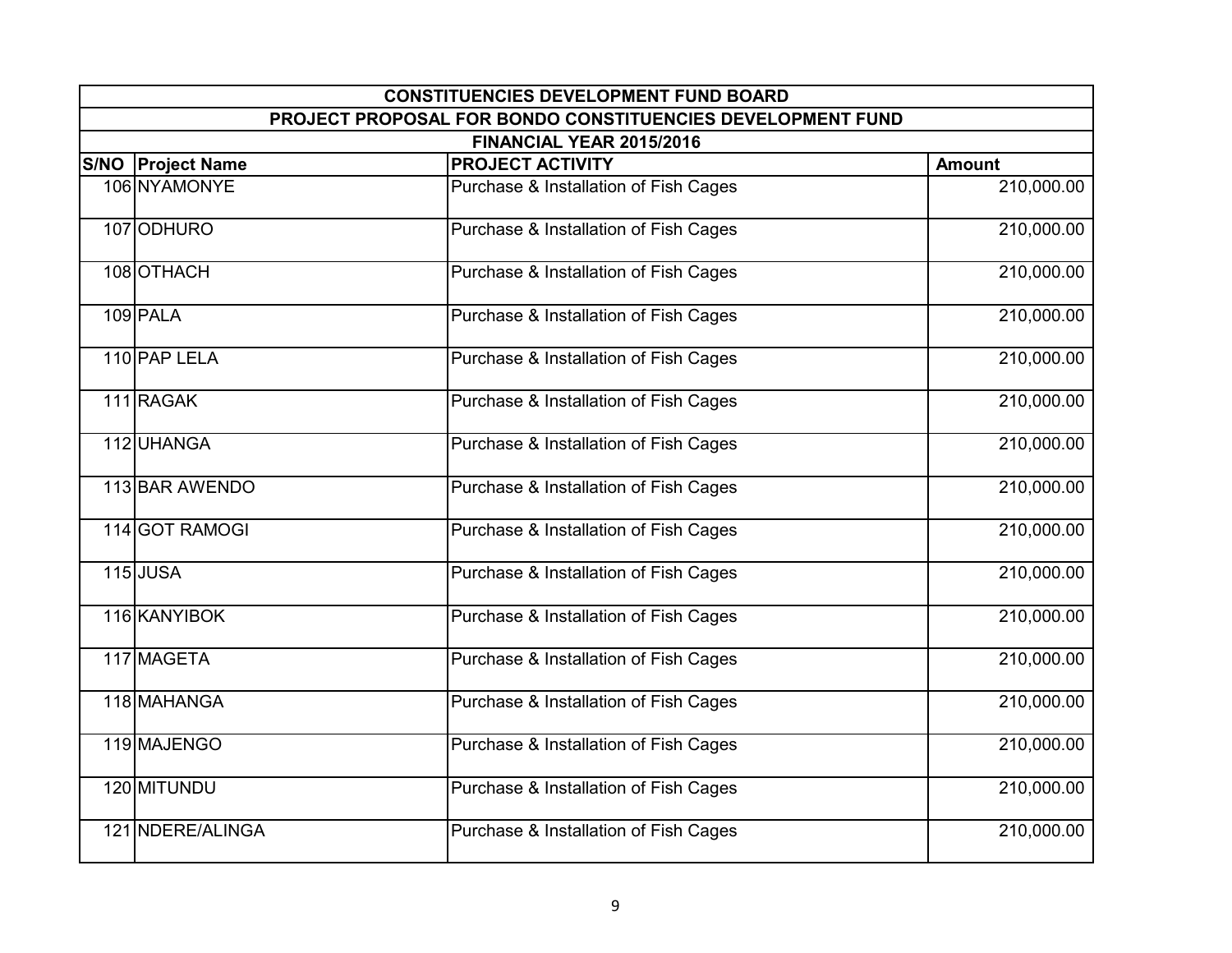| <b>CONSTITUENCIES DEVELOPMENT FUND BOARD</b> |                                                            |               |  |
|----------------------------------------------|------------------------------------------------------------|---------------|--|
|                                              | PROJECT PROPOSAL FOR BONDO CONSTITUENCIES DEVELOPMENT FUND |               |  |
|                                              | FINANCIAL YEAR 2015/2016                                   |               |  |
| <b>S/NO Project Name</b>                     | <b>PROJECT ACTIVITY</b>                                    | <b>Amount</b> |  |
| 106 NYAMONYE                                 | Purchase & Installation of Fish Cages                      | 210,000.00    |  |
| 107 ODHURO                                   | Purchase & Installation of Fish Cages                      | 210,000.00    |  |
| 108 OTHACH                                   | Purchase & Installation of Fish Cages                      | 210,000.00    |  |
| 109 PALA                                     | Purchase & Installation of Fish Cages                      | 210,000.00    |  |
| 110 PAP LELA                                 | Purchase & Installation of Fish Cages                      | 210,000.00    |  |
| 111 RAGAK                                    | Purchase & Installation of Fish Cages                      | 210,000.00    |  |
| 112 UHANGA                                   | Purchase & Installation of Fish Cages                      | 210,000.00    |  |
| 113 BAR AWENDO                               | Purchase & Installation of Fish Cages                      | 210,000.00    |  |
| 114 GOT RAMOGI                               | Purchase & Installation of Fish Cages                      | 210,000.00    |  |
| <b>115 JUSA</b>                              | Purchase & Installation of Fish Cages                      | 210,000.00    |  |
| 116 KANYIBOK                                 | Purchase & Installation of Fish Cages                      | 210,000.00    |  |
| 117 MAGETA                                   | Purchase & Installation of Fish Cages                      | 210,000.00    |  |
| 118 MAHANGA                                  | Purchase & Installation of Fish Cages                      | 210,000.00    |  |
| 119 MAJENGO                                  | Purchase & Installation of Fish Cages                      | 210,000.00    |  |
| 120 MITUNDU                                  | Purchase & Installation of Fish Cages                      | 210,000.00    |  |
| 121 NDERE/ALINGA                             | Purchase & Installation of Fish Cages                      | 210,000.00    |  |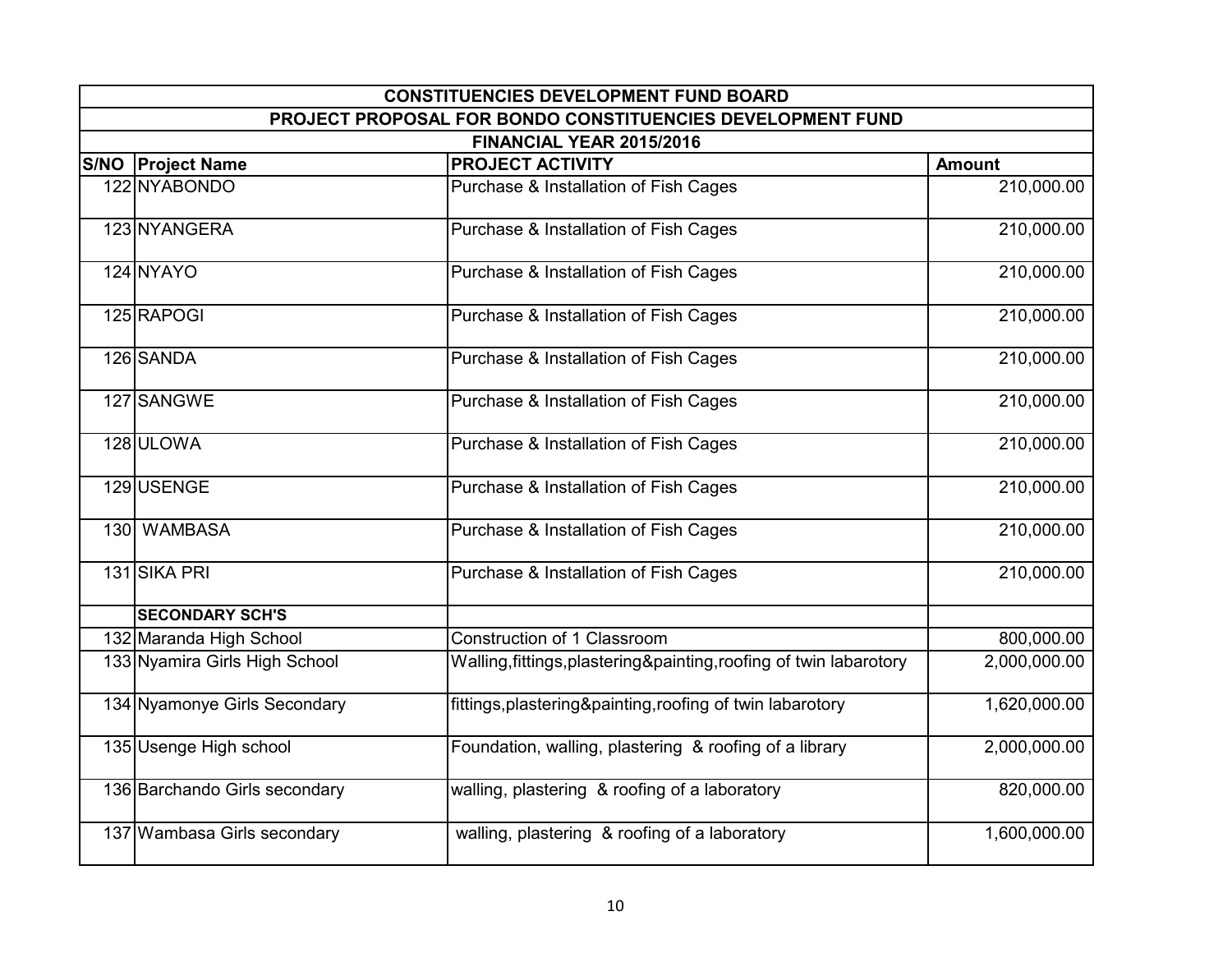| <b>CONSTITUENCIES DEVELOPMENT FUND BOARD</b> |                                                                    |               |  |
|----------------------------------------------|--------------------------------------------------------------------|---------------|--|
|                                              | PROJECT PROPOSAL FOR BONDO CONSTITUENCIES DEVELOPMENT FUND         |               |  |
|                                              | FINANCIAL YEAR 2015/2016                                           |               |  |
| <b>S/NO Project Name</b>                     | <b>PROJECT ACTIVITY</b>                                            | <b>Amount</b> |  |
| 122 NYABONDO                                 | Purchase & Installation of Fish Cages                              | 210,000.00    |  |
| 123 NYANGERA                                 | Purchase & Installation of Fish Cages                              | 210,000.00    |  |
| 124 NYAYO                                    | Purchase & Installation of Fish Cages                              | 210,000.00    |  |
| 125 RAPOGI                                   | Purchase & Installation of Fish Cages                              | 210,000.00    |  |
| 126 SANDA                                    | Purchase & Installation of Fish Cages                              | 210,000.00    |  |
| 127 SANGWE                                   | Purchase & Installation of Fish Cages                              | 210,000.00    |  |
| 128 ULOWA                                    | Purchase & Installation of Fish Cages                              | 210,000.00    |  |
| 129 USENGE                                   | Purchase & Installation of Fish Cages                              | 210,000.00    |  |
| 130 WAMBASA                                  | Purchase & Installation of Fish Cages                              | 210,000.00    |  |
| 131 SIKA PRI                                 | Purchase & Installation of Fish Cages                              | 210,000.00    |  |
| <b>SECONDARY SCH'S</b>                       |                                                                    |               |  |
| 132 Maranda High School                      | Construction of 1 Classroom                                        | 800,000.00    |  |
| 133 Nyamira Girls High School                | Walling, fittings, plastering&painting, roofing of twin labarotory | 2,000,000.00  |  |
| 134 Nyamonye Girls Secondary                 | fittings, plastering&painting, roofing of twin labarotory          | 1,620,000.00  |  |
| 135 Usenge High school                       | Foundation, walling, plastering & roofing of a library             | 2,000,000.00  |  |
| 136 Barchando Girls secondary                | walling, plastering & roofing of a laboratory                      | 820,000.00    |  |
| 137 Wambasa Girls secondary                  | walling, plastering & roofing of a laboratory                      | 1,600,000.00  |  |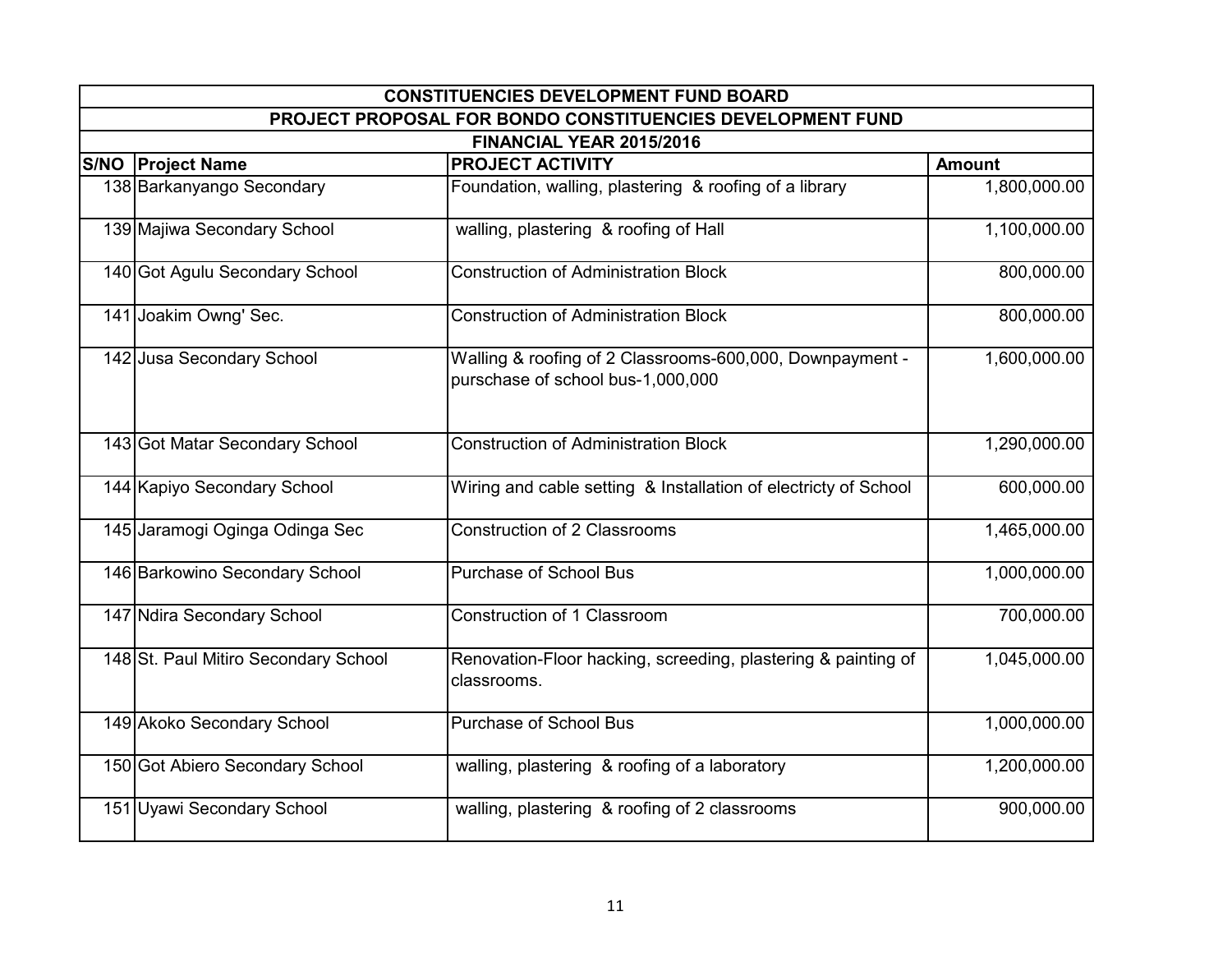| <b>CONSTITUENCIES DEVELOPMENT FUND BOARD</b> |                                                                                               |               |  |
|----------------------------------------------|-----------------------------------------------------------------------------------------------|---------------|--|
|                                              | PROJECT PROPOSAL FOR BONDO CONSTITUENCIES DEVELOPMENT FUND                                    |               |  |
|                                              | FINANCIAL YEAR 2015/2016                                                                      |               |  |
| <b>S/NO Project Name</b>                     | <b>PROJECT ACTIVITY</b>                                                                       | <b>Amount</b> |  |
| 138 Barkanyango Secondary                    | Foundation, walling, plastering & roofing of a library                                        | 1,800,000.00  |  |
| 139 Majiwa Secondary School                  | walling, plastering & roofing of Hall                                                         | 1,100,000.00  |  |
| 140 Got Agulu Secondary School               | <b>Construction of Administration Block</b>                                                   | 800,000.00    |  |
| 141 Joakim Owng' Sec.                        | <b>Construction of Administration Block</b>                                                   | 800,000.00    |  |
| 142 Jusa Secondary School                    | Walling & roofing of 2 Classrooms-600,000, Downpayment -<br>purschase of school bus-1,000,000 | 1,600,000.00  |  |
| 143 Got Matar Secondary School               | <b>Construction of Administration Block</b>                                                   | 1,290,000.00  |  |
| 144 Kapiyo Secondary School                  | Wiring and cable setting & Installation of electricty of School                               | 600,000.00    |  |
| 145 Jaramogi Oginga Odinga Sec               | <b>Construction of 2 Classrooms</b>                                                           | 1,465,000.00  |  |
| 146 Barkowino Secondary School               | <b>Purchase of School Bus</b>                                                                 | 1,000,000.00  |  |
| 147 Ndira Secondary School                   | Construction of 1 Classroom                                                                   | 700,000.00    |  |
| 148 St. Paul Mitiro Secondary School         | Renovation-Floor hacking, screeding, plastering & painting of<br>classrooms.                  | 1,045,000.00  |  |
| 149 Akoko Secondary School                   | <b>Purchase of School Bus</b>                                                                 | 1,000,000.00  |  |
| 150 Got Abiero Secondary School              | walling, plastering & roofing of a laboratory                                                 | 1,200,000.00  |  |
| 151 Uyawi Secondary School                   | walling, plastering & roofing of 2 classrooms                                                 | 900,000.00    |  |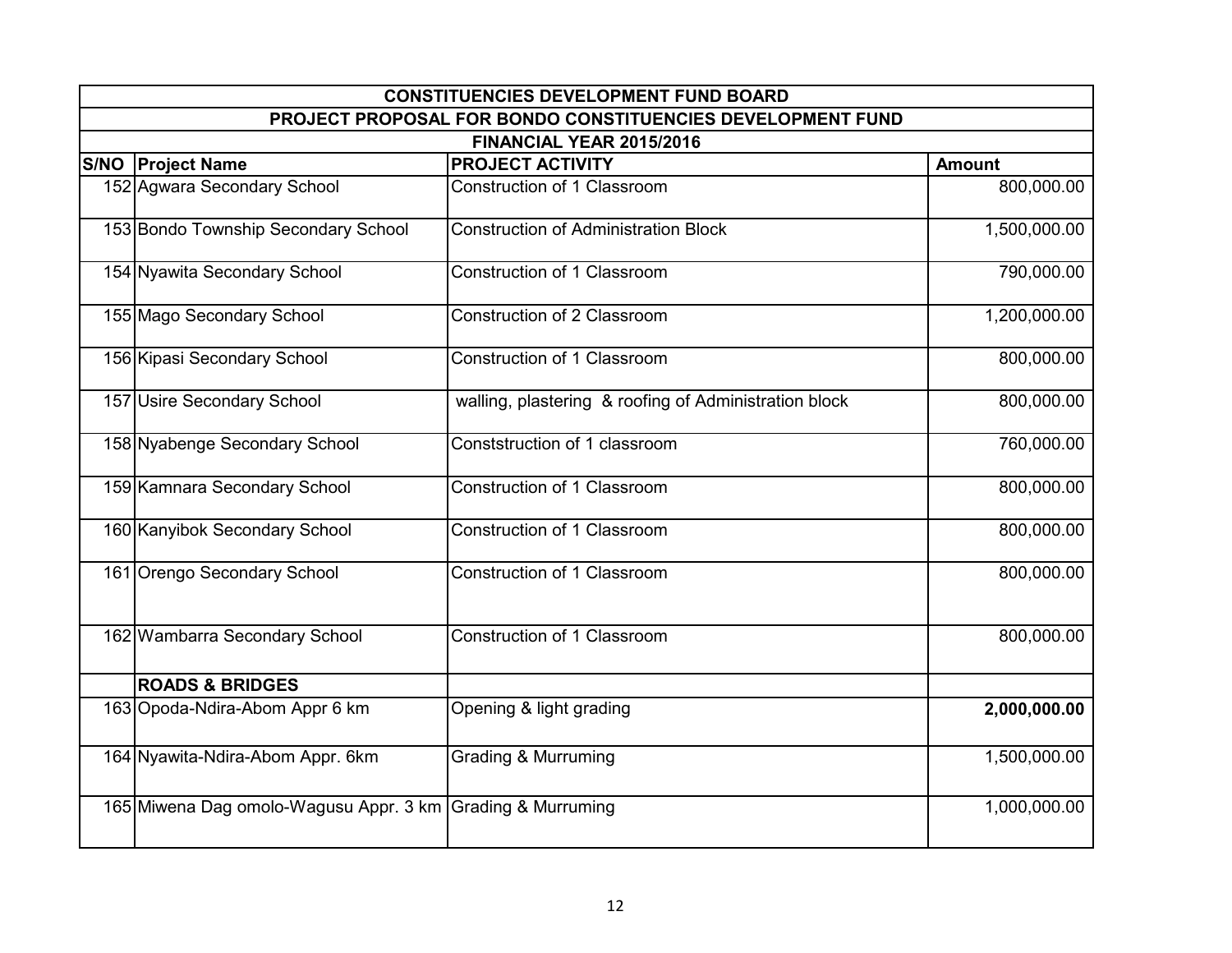| <b>CONSTITUENCIES DEVELOPMENT FUND BOARD</b>               |                                                            |               |  |
|------------------------------------------------------------|------------------------------------------------------------|---------------|--|
|                                                            | PROJECT PROPOSAL FOR BONDO CONSTITUENCIES DEVELOPMENT FUND |               |  |
|                                                            | FINANCIAL YEAR 2015/2016                                   |               |  |
| <b>S/NO Project Name</b>                                   | <b>PROJECT ACTIVITY</b>                                    | <b>Amount</b> |  |
| 152 Agwara Secondary School                                | Construction of 1 Classroom                                | 800,000.00    |  |
| 153 Bondo Township Secondary School                        | <b>Construction of Administration Block</b>                | 1,500,000.00  |  |
| 154 Nyawita Secondary School                               | <b>Construction of 1 Classroom</b>                         | 790,000.00    |  |
| 155 Mago Secondary School                                  | Construction of 2 Classroom                                | 1,200,000.00  |  |
| 156 Kipasi Secondary School                                | <b>Construction of 1 Classroom</b>                         | 800,000.00    |  |
| 157 Usire Secondary School                                 | walling, plastering & roofing of Administration block      | 800,000.00    |  |
| 158 Nyabenge Secondary School                              | Conststruction of 1 classroom                              | 760,000.00    |  |
| 159 Kamnara Secondary School                               | Construction of 1 Classroom                                | 800,000.00    |  |
| 160 Kanyibok Secondary School                              | Construction of 1 Classroom                                | 800,000.00    |  |
| 161 Orengo Secondary School                                | Construction of 1 Classroom                                | 800,000.00    |  |
| 162 Wambarra Secondary School                              | Construction of 1 Classroom                                | 800,000.00    |  |
| <b>ROADS &amp; BRIDGES</b>                                 |                                                            |               |  |
| 163 Opoda-Ndira-Abom Appr 6 km                             | Opening & light grading                                    | 2,000,000.00  |  |
| 164 Nyawita-Ndira-Abom Appr. 6km                           | <b>Grading &amp; Murruming</b>                             | 1,500,000.00  |  |
| 165 Miwena Dag omolo-Wagusu Appr. 3 km Grading & Murruming |                                                            | 1,000,000.00  |  |